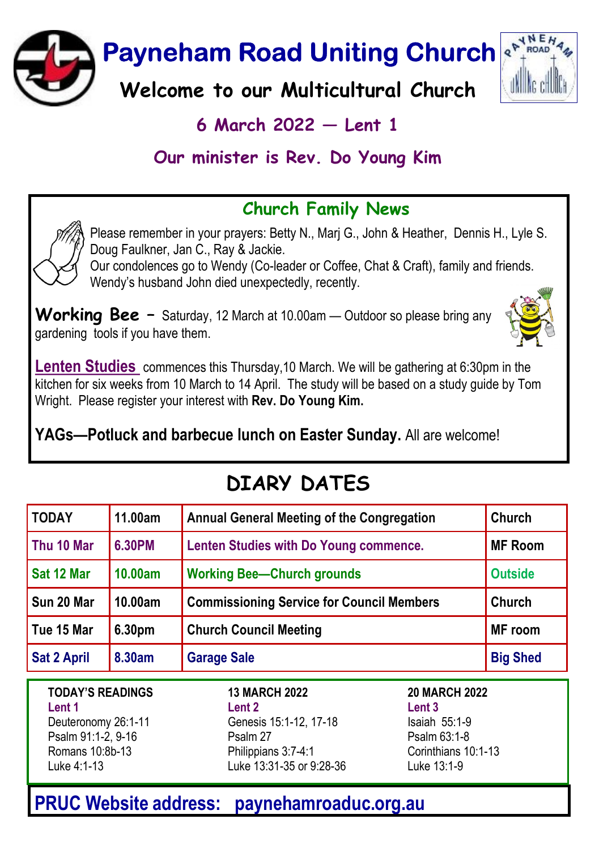**Payneham Road Uniting Church** 



Welcome to our Multicultural Church

## 6 March  $2022$  – Lent 1

## Our minister is Rev. Do Young Kim

## Church Family News

Please remember in your prayers: Betty N., Marj G., John & Heather, Dennis H., Lyle S. Doug Faulkner, Jan C., Ray & Jackie.

Our condolences go to Wendy (Co-leader or Coffee, Chat & Craft), family and friends. Wendy's husband John died unexpectedly, recently.

**Working Bee** - Saturday, 12 March at 10.00am  $-$  Outdoor so please bring any gardening tools if you have them.



Lenten Studies commences this Thursday, 10 March. We will be gathering at 6:30pm in the kitchen for six weeks from 10 March to 14 April. The study will be based on a study guide by Tom Wright. Please register your interest with Rev. Do Young Kim.

YAGs-Potluck and barbecue lunch on Easter Sunday. All are welcome!

| <b>TODAY</b>       | 11.00am | Annual General Meeting of the Congregation       | Church          |
|--------------------|---------|--------------------------------------------------|-----------------|
| Thu 10 Mar         | 6.30PM  | Lenten Studies with Do Young commence.           | <b>MF Room</b>  |
| Sat 12 Mar         | 10.00am | <b>Working Bee-Church grounds</b>                | <b>Outside</b>  |
| Sun 20 Mar         | 10.00am | <b>Commissioning Service for Council Members</b> | Church          |
| Tue 15 Mar         | 6.30pm  | <b>Church Council Meeting</b>                    | MF room         |
| <b>Sat 2 April</b> | 8.30am  | <b>Garage Sale</b>                               | <b>Big Shed</b> |

# DIARY DATES

TODAY'S READINGS Lent 1 Deuteronomy 26:1-11 Psalm 91:1-2, 9-16 Romans 10:8b-13 Luke 4:1-13

13 MARCH 2022 Lent 2 Genesis 15:1-12, 17-18 Psalm 27 Philippians 3:7-4:1 Luke 13:31-35 or 9:28-36 20 MARCH 2022 Lent 3 Isaiah 55:1-9 Psalm 63:1-8 Corinthians 10:1-13 Luke 13:1-9

PRUC Website address: paynehamroaduc.org.au